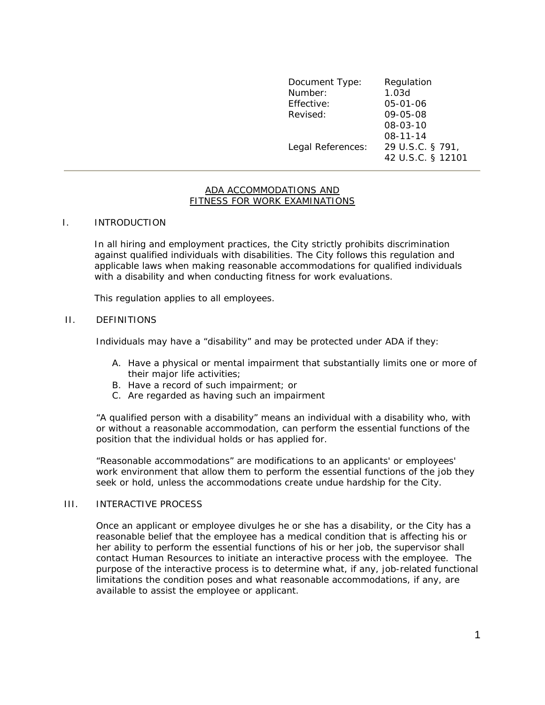Document Type: Regulation Number: 1.03d Effective: 05-01-06 Revised: 09-05-08 08-03-10 08-11-14 Legal References: 29 U.S.C. § 791, 42 U.S.C. § 12101

#### ADA ACCOMMODATIONS AND FITNESS FOR WORK EXAMINATIONS

## I. INTRODUCTION

In all hiring and employment practices, the City strictly prohibits discrimination against qualified individuals with disabilities. The City follows this regulation and applicable laws when making reasonable accommodations for qualified individuals with a disability and when conducting fitness for work evaluations.

This regulation applies to all employees.

### II. DEFINITIONS

Individuals may have a "disability" and may be protected under ADA if they:

- A. Have a physical or mental impairment that substantially limits one or more of their major life activities;
- B. Have a record of such impairment; or
- C. Are regarded as having such an impairment

"A qualified person with a disability" means an individual with a disability who, with or without a reasonable accommodation, can perform the essential functions of the position that the individual holds or has applied for.

"Reasonable accommodations" are modifications to an applicants' or employees' work environment that allow them to perform the essential functions of the job they seek or hold, unless the accommodations create undue hardship for the City.

## III. INTERACTIVE PROCESS

Once an applicant or employee divulges he or she has a disability, or the City has a reasonable belief that the employee has a medical condition that is affecting his or her ability to perform the essential functions of his or her job, the supervisor shall contact Human Resources to initiate an interactive process with the employee. The purpose of the interactive process is to determine what, if any, job-related functional limitations the condition poses and what reasonable accommodations, if any, are available to assist the employee or applicant.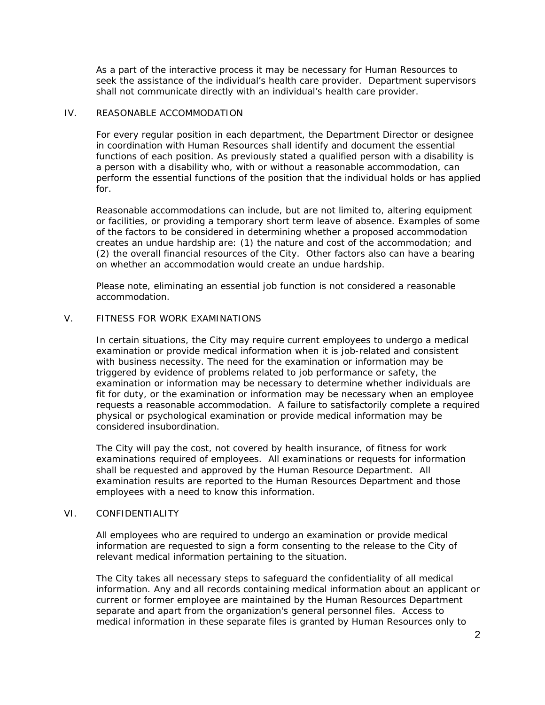As a part of the interactive process it may be necessary for Human Resources to seek the assistance of the individual's health care provider. Department supervisors shall not communicate directly with an individual's health care provider.

# IV. REASONABLE ACCOMMODATION

For every regular position in each department, the Department Director or designee in coordination with Human Resources shall identify and document the essential functions of each position. As previously stated a qualified person with a disability is a person with a disability who, with or without a reasonable accommodation, can perform the essential functions of the position that the individual holds or has applied for.

Reasonable accommodations can include, but are not limited to, altering equipment or facilities, or providing a temporary short term leave of absence. Examples of some of the factors to be considered in determining whether a proposed accommodation creates an undue hardship are: (1) the nature and cost of the accommodation; and (2) the overall financial resources of the City. Other factors also can have a bearing on whether an accommodation would create an undue hardship.

Please note, eliminating an essential job function is not considered a reasonable accommodation.

## V. FITNESS FOR WORK EXAMINATIONS

In certain situations, the City may require current employees to undergo a medical examination or provide medical information when it is job-related and consistent with business necessity. The need for the examination or information may be triggered by evidence of problems related to job performance or safety, the examination or information may be necessary to determine whether individuals are fit for duty, or the examination or information may be necessary when an employee requests a reasonable accommodation. A failure to satisfactorily complete a required physical or psychological examination or provide medical information may be considered insubordination.

The City will pay the cost, not covered by health insurance, of fitness for work examinations required of employees. All examinations or requests for information shall be requested and approved by the Human Resource Department. All examination results are reported to the Human Resources Department and those employees with a need to know this information.

## VI. CONFIDENTIALITY

All employees who are required to undergo an examination or provide medical information are requested to sign a form consenting to the release to the City of relevant medical information pertaining to the situation.

The City takes all necessary steps to safeguard the confidentiality of all medical information. Any and all records containing medical information about an applicant or current or former employee are maintained by the Human Resources Department separate and apart from the organization's general personnel files. Access to medical information in these separate files is granted by Human Resources only to